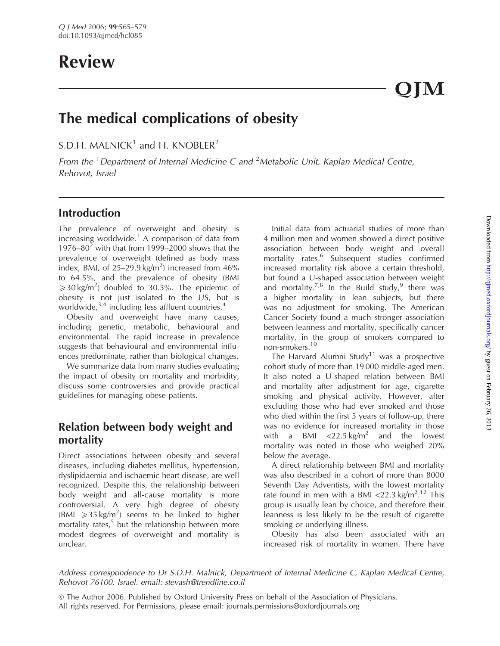# Review

QJM

## The medical complications of obesity

S.D.H. MALNICK<sup>1</sup> and H. KNOBLER<sup>2</sup>

From the <sup>1</sup> Department of Internal Medicine C and <sup>2</sup> Metabolic Unit, Kaplan Medical Centre, Rehovot, Israel

## Introduction

The prevalence of overweight and obesity is increasing worldwide.<sup>1</sup> A comparison of data from 1976–80 $2$  with that from 1999–2000 shows that the prevalence of overweight (defined as body mass index, BMI, of  $25-29.9$  kg/m<sup>2</sup>) increased from  $46\%$ to 64.5%, and the prevalence of obesity (BMI  $\geqslant$  30 kg/m<sup>2</sup>) doubled to 30.5%. The epidemic of obesity is not just isolated to the US, but is worldwide, $3,4$  including less affluent countries.<sup>4</sup>

Obesity and overweight have many causes, including genetic, metabolic, behavioural and environmental. The rapid increase in prevalence suggests that behavioural and environmental influences predominate, rather than biological changes.

We summarize data from many studies evaluating the impact of obesity on mortality and morbidity, discuss some controversies and provide practical guidelines for managing obese patients.

## Relation between body weight and mortality

Direct associations between obesity and several diseases, including diabetes mellitus, hypertension, dyslipidaemia and ischaemic heart disease, are well recognized. Despite this, the relationship between body weight and all-cause mortality is more controversial. A very high degree of obesity (BMI  $\geq 35 \text{ kg/m}^2$ ) seems to be linked to higher mortality rates, $5$  but the relationship between more modest degrees of overweight and mortality is unclear.

Initial data from actuarial studies of more than 4 million men and women showed a direct positive association between body weight and overall mortality rates.<sup>6</sup> Subsequent studies confirmed increased mortality risk above a certain threshold, but found a U-shaped association between weight and mortality.<sup>7,8</sup> In the Build study,<sup>9</sup> there was a higher mortality in lean subjects, but there was no adjustment for smoking. The American Cancer Society found a much stronger association between leanness and mortality, specifically cancer mortality, in the group of smokers compared to non-smokers.<sup>10</sup>

The Harvard Alumni Study<sup>11</sup> was a prospective cohort study of more than 19 000 middle-aged men. It also noted a U-shaped relation between BMI and mortality after adjustment for age, cigarette smoking and physical activity. However, after excluding those who had ever smoked and those who died within the first 5 years of follow-up, there was no evidence for increased mortality in those with a BMI  $\langle 22.5 \text{ kg/m}^2$  and the lowest mortality was noted in those who weighed 20% below the average.

A direct relationship between BMI and mortality was also described in a cohort of more than 8000 Seventh Day Adventists, with the lowest mortality rate found in men with a BMI <22.3 kg/m<sup>2</sup>.<sup>12</sup> This group is usually lean by choice, and therefore their leanness is less likely to be the result of cigarette smoking or underlying illness.

Obesity has also been associated with an increased risk of mortality in women. There have

Address correspondence to Dr S.D.H. Malnick, Department of Internal Medicine C, Kaplan Medical Centre, Rehovot 76100, Israel. email: stevash@trendline.co.il

<sup>©</sup> The Author 2006. Published by Oxford University Press on behalf of the Association of Physicians. All rights reserved. For Permissions, please email: journals.permissions@oxfordjournals.org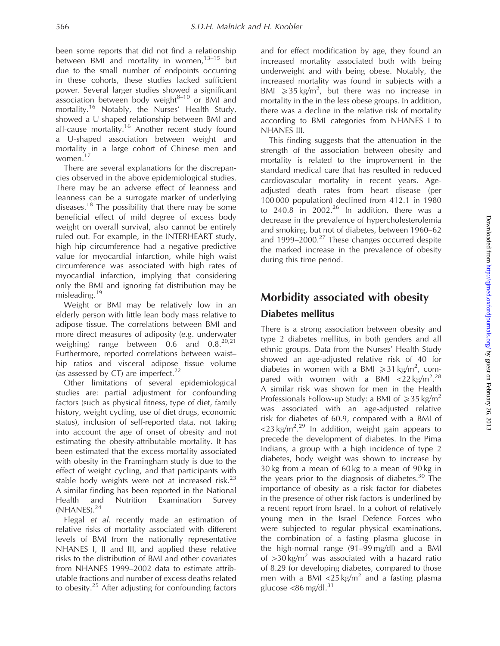been some reports that did not find a relationship between BMI and mortality in women, $13-15$  but due to the small number of endpoints occurring in these cohorts, these studies lacked sufficient power. Several larger studies showed a significant association between body weight $8-10$  or BMI and mortality.<sup>16</sup> Notably, the Nurses' Health Study, showed a U-shaped relationship between BMI and all-cause mortality.<sup>16</sup> Another recent study found a U-shaped association between weight and mortality in a large cohort of Chinese men and women.17

There are several explanations for the discrepancies observed in the above epidemiological studies. There may be an adverse effect of leanness and leanness can be a surrogate marker of underlying diseases.<sup>18</sup> The possibility that there may be some beneficial effect of mild degree of excess body weight on overall survival, also cannot be entirely ruled out. For example, in the INTERHEART study, high hip circumference had a negative predictive value for myocardial infarction, while high waist circumference was associated with high rates of myocardial infarction, implying that considering only the BMI and ignoring fat distribution may be misleading.<sup>19</sup>

Weight or BMI may be relatively low in an elderly person with little lean body mass relative to adipose tissue. The correlations between BMI and more direct measures of adiposity (e.g. underwater weighing) range between 0.6 and 0.8.20,21 Furthermore, reported correlations between waist– hip ratios and visceral adipose tissue volume (as assessed by CT) are imperfect. $22$ 

Other limitations of several epidemiological studies are: partial adjustment for confounding factors (such as physical fitness, type of diet, family history, weight cycling, use of diet drugs, economic status), inclusion of self-reported data, not taking into account the age of onset of obesity and not estimating the obesity-attributable mortality. It has been estimated that the excess mortality associated with obesity in the Framingham study is due to the effect of weight cycling, and that participants with stable body weights were not at increased risk. $^{23}$ A similar finding has been reported in the National Health and Nutrition Examination Survey (NHANES).<sup>24</sup>

Flegal et al. recently made an estimation of relative risks of mortality associated with different levels of BMI from the nationally representative NHANES I, II and III, and applied these relative risks to the distribution of BMI and other covariates from NHANES 1999–2002 data to estimate attributable fractions and number of excess deaths related to obesity.<sup>25</sup> After adjusting for confounding factors

and for effect modification by age, they found an increased mortality associated both with being underweight and with being obese. Notably, the increased mortality was found in subjects with a BMI  $\geq 35 \text{ kg/m}^2$ , but there was no increase in mortality in the in the less obese groups. In addition, there was a decline in the relative risk of mortality according to BMI categories from NHANES I to NHANES III.

This finding suggests that the attenuation in the strength of the association between obesity and mortality is related to the improvement in the standard medical care that has resulted in reduced cardiovascular mortality in recent years. Ageadjusted death rates from heart disease (per 100 000 population) declined from 412.1 in 1980 to  $240.8$  in  $2002.<sup>26</sup>$  In addition, there was a decrease in the prevalence of hypercholesterolemia and smoking, but not of diabetes, between 1960–62 and  $1999-2000.<sup>27</sup>$  These changes occurred despite the marked increase in the prevalence of obesity during this time period.

## Morbidity associated with obesity Diabetes mellitus

There is a strong association between obesity and type 2 diabetes mellitus, in both genders and all ethnic groups. Data from the Nurses' Health Study showed an age-adjusted relative risk of 40 for diabetes in women with a BMI  $\geq 31 \text{ kg/m}^2$ , compared with women with a BMI  $\langle 22 \text{ kg/m}^2 \cdot 28 \rangle$ A similar risk was shown for men in the Health Professionals Follow-up Study: a BMI of  $\geq 35$  kg/m<sup>2</sup> was associated with an age-adjusted relative risk for diabetes of 60.9, compared with a BMI of <23 kg/m<sup>2</sup>.<sup>29</sup> In addition, weight gain appears to precede the development of diabetes. In the Pima Indians, a group with a high incidence of type 2 diabetes, body weight was shown to increase by 30 kg from a mean of 60 kg to a mean of 90 kg in the years prior to the diagnosis of diabetes.<sup>30</sup> The importance of obesity as a risk factor for diabetes in the presence of other risk factors is underlined by a recent report from Israel. In a cohort of relatively young men in the Israel Defence Forces who were subjected to regular physical examinations, the combination of a fasting plasma glucose in the high-normal range (91–99 mg/dl) and a BMI of  $>$ 30 kg/m<sup>2</sup> was associated with a hazard ratio of 8.29 for developing diabetes, compared to those men with a BMI  $\langle 25 \text{ kg/m}^2$  and a fasting plasma glucose <86 mg/dl. $31$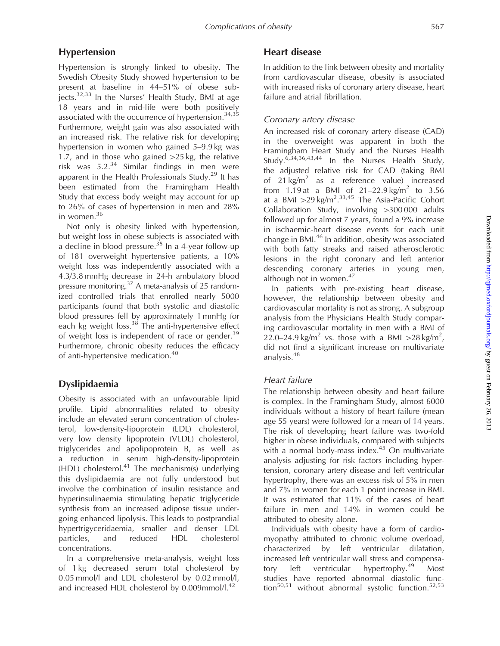## Hypertension

Hypertension is strongly linked to obesity. The Swedish Obesity Study showed hypertension to be present at baseline in 44–51% of obese subjects.32,33 In the Nurses' Health Study, BMI at age 18 years and in mid-life were both positively associated with the occurrence of hypertension.<sup>34,35</sup> Furthermore, weight gain was also associated with an increased risk. The relative risk for developing hypertension in women who gained 5–9.9 kg was 1.7, and in those who gained  $>25$  kg, the relative risk was  $5.2^{34}$  Similar findings in men were apparent in the Health Professionals Study.<sup>29</sup> It has been estimated from the Framingham Health Study that excess body weight may account for up to 26% of cases of hypertension in men and 28% in women.<sup>36</sup>

Not only is obesity linked with hypertension, but weight loss in obese subjects is associated with a decline in blood pressure.<sup>35</sup> In a 4-year follow-up of 181 overweight hypertensive patients, a 10% weight loss was independently associated with a 4.3/3.8 mmHg decrease in 24-h ambulatory blood pressure monitoring.37 A meta-analysis of 25 randomized controlled trials that enrolled nearly 5000 participants found that both systolic and diastolic blood pressures fell by approximately 1 mmHg for each kg weight  $loss.<sup>38</sup>$  The anti-hypertensive effect of weight loss is independent of race or gender.<sup>39</sup> Furthermore, chronic obesity reduces the efficacy of anti-hypertensive medication.<sup>40</sup>

## Dyslipidaemia

Obesity is associated with an unfavourable lipid profile. Lipid abnormalities related to obesity include an elevated serum concentration of cholesterol, low-density-lipoprotein (LDL) cholesterol, very low density lipoprotein (VLDL) cholesterol, triglycerides and apolipoprotein B, as well as a reduction in serum high-density-lipoprotein (HDL) cholesterol.<sup>41</sup> The mechanism(s) underlying this dyslipidaemia are not fully understood but involve the combination of insulin resistance and hyperinsulinaemia stimulating hepatic triglyceride synthesis from an increased adipose tissue undergoing enhanced lipolysis. This leads to postprandial hypertrigyceridaemia, smaller and denser LDL particles, and reduced HDL cholesterol concentrations.

In a comprehensive meta-analysis, weight loss of 1 kg decreased serum total cholesterol by 0.05 mmol/l and LDL cholesterol by 0.02 mmol/l, and increased HDL cholesterol by  $0.009$ mmol/l.<sup>42</sup>

## Heart disease

In addition to the link between obesity and mortality from cardiovascular disease, obesity is associated with increased risks of coronary artery disease, heart failure and atrial fibrillation.

## Coronary artery disease

An increased risk of coronary artery disease (CAD) in the overweight was apparent in both the Framingham Heart Study and the Nurses Health Study.6,34,36,43,44 In the Nurses Health Study, the adjusted relative risk for CAD (taking BMI of  $21 \text{ kg/m}^2$  as a reference value) increased from 1.19 at a BMI of  $21-22.9 \text{ kg/m}^2$  to 3.56 at a BMI  $>$ 29 kg/m<sup>2</sup>.<sup>33,45</sup> The Asia-Pacific Cohort Collaboration Study, involving  $>300000$  adults followed up for almost 7 years, found a 9% increase in ischaemic-heart disease events for each unit change in BMI.<sup>46</sup> In addition, obesity was associated with both fatty streaks and raised atherosclerotic lesions in the right coronary and left anterior descending coronary arteries in young men, although not in women. $47$ 

In patients with pre-existing heart disease, however, the relationship between obesity and cardiovascular mortality is not as strong. A subgroup analysis from the Physicians Health Study comparing cardiovascular mortality in men with a BMI of 22.0–24.9 kg/m<sup>2</sup> vs. those with a BMI  $>$ 28 kg/m<sup>2</sup>, did not find a significant increase on multivariate analysis.<sup>48</sup>

## Heart failure

The relationship between obesity and heart failure is complex. In the Framingham Study, almost 6000 individuals without a history of heart failure (mean age 55 years) were followed for a mean of 14 years. The risk of developing heart failure was two-fold higher in obese individuals, compared with subjects with a normal body-mass index.<sup>45</sup> On multivariate analysis adjusting for risk factors including hypertension, coronary artery disease and left ventricular hypertrophy, there was an excess risk of 5% in men and 7% in women for each 1 point increase in BMI. It was estimated that 11% of the cases of heart failure in men and 14% in women could be attributed to obesity alone.

Individuals with obesity have a form of cardiomyopathy attributed to chronic volume overload, characterized by left ventricular dilatation, increased left ventricular wall stress and compensatory left ventricular hypertrophy.<sup>49</sup> Most studies have reported abnormal diastolic function<sup>50,51</sup> without abnormal systolic function.<sup>52,53</sup>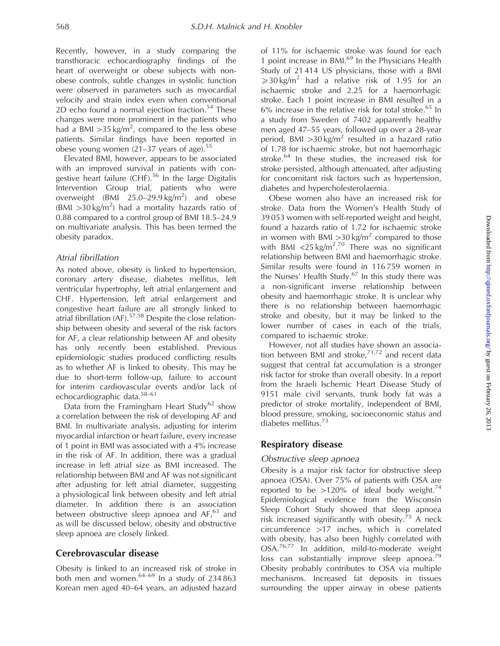Recently, however, in a study comparing the transthoracic echocardiography findings of the heart of overweight or obese subjects with nonobese controls, subtle changes in systolic function were observed in parameters such as myocardial velocity and strain index even when conventional 2D echo found a normal ejection fraction.<sup>54</sup> These changes were more prominent in the patients who had a BMI  $>35 \text{ kg/m}^2$ , compared to the less obese patients. Similar findings have been reported in obese young women  $(21-37)$  years of age).<sup>55</sup>

Elevated BMI, however, appears to be associated with an improved survival in patients with congestive heart failure  $(CHF)$ .<sup>56</sup> In the large Digitalis Intervention Group trial, patients who were overweight  $(BMI \ 25.0-29.9 \ kg/m^2)$  and obese (BMI  $>$ 30 kg/m<sup>2</sup>) had a mortality hazards ratio of 0.88 compared to a control group of BMI 18.5–24.9 on multivariate analysis. This has been termed the obesity paradox.

#### Atrial fibrillation

As noted above, obesity is linked to hypertension, coronary artery disease, diabetes mellitus, left ventricular hypertrophy, left atrial enlargement and CHF. Hypertension, left atrial enlargement and congestive heart failure are all strongly linked to atrial fibrillation (AF).<sup>57,58</sup> Despite the close relationship between obesity and several of the risk factors for AF, a clear relationship between AF and obesity has only recently been established. Previous epidemiologic studies produced conflicting results as to whether AF is linked to obesity. This may be due to short-term follow-up, failure to account for interim cardiovascular events and/or lack of echocardiographic data.58–61

Data from the Framingham Heart Study<sup>62</sup> show a correlation between the risk of developing AF and BMI. In multivariate analysis, adjusting for interim myocardial infarction or heart failure, every increase of 1 point in BMI was associated with a 4% increase in the risk of AF. In addition, there was a gradual increase in left atrial size as BMI increased. The relationship between BMI and AF was not significant after adjusting for left atrial diameter, suggesting a physiological link between obesity and left atrial diameter. In addition there is an association between obstructive sleep apnoea and  $AF$ ,  $63$  and as will be discussed below, obesity and obstructive sleep apnoea are closely linked.

## Cerebrovascular disease

Obesity is linked to an increased risk of stroke in both men and women. $64-69$  In a study of 234 863 Korean men aged 40–64 years, an adjusted hazard of 11% for ischaemic stroke was found for each 1 point increase in BMI.<sup>69</sup> In the Physicians Health Study of 21 414 US physicians, those with a BMI  $\geqslant$  30 kg/m<sup>2</sup> had a relative risk of 1.95 for an ischaemic stroke and 2.25 for a haemorrhagic stroke. Each 1 point increase in BMI resulted in a  $6\%$  increase in the relative risk for total stroke.<sup>65</sup> In a study from Sweden of 7402 apparently healthy men aged 47–55 years, followed up over a 28-year period, BMI  $>30 \text{ kg/m}^2$  resulted in a hazard ratio of 1.78 for ischaemic stroke, but not haemorrhagic stroke.<sup>64</sup> In these studies, the increased risk for stroke persisted, although attenuated, after adjusting for concomitant risk factors such as hypertension, diabetes and hypercholesterolaemia.

Obese women also have an increased risk for stroke. Data from the Women's Health Study of 39 053 women with self-reported weight and height, found a hazards ratio of 1.72 for ischaemic stroke in women with BMI  $>$ 30 kg/m<sup>2</sup> compared to those with BMI <25 kg/m<sup>2.70</sup> There was no significant relationship between BMI and haemorrhagic stroke. Similar results were found in 116 759 women in the Nurses' Health Study.<sup>67</sup> In this study there was a non-significant inverse relationship between obesity and haemorrhagic stroke. It is unclear why there is no relationship between haemorrhagic stroke and obesity, but it may be linked to the lower number of cases in each of the trials, compared to ischaemic stroke.

However, not all studies have shown an association between BMI and stroke, $71,72$  and recent data suggest that central fat accumulation is a stronger risk factor for stroke than overall obesity. In a report from the Israeli Ischemic Heart Disease Study of 9151 male civil servants, trunk body fat was a predictor of stroke mortality, independent of BMI, blood pressure, smoking, socioeconomic status and diabetes mellitus.<sup>73</sup>

## Respiratory disease

#### Obstructive sleep apnoea

Obesity is a major risk factor for obstructive sleep apnoea (OSA). Over 75% of patients with OSA are reported to be  $>120\%$  of ideal body weight.<sup>74</sup> Epidemiological evidence from the Wisconsin Sleep Cohort Study showed that sleep apnoea risk increased significantly with obesity. $75$  A neck circumference 417 inches, which is correlated with obesity, has also been highly correlated with OSA.<sup>76,77</sup> In addition, mild-to-moderate weight loss can substantially improve sleep apnoea.<sup>79</sup> Obesity probably contributes to OSA via multiple mechanisms. Increased fat deposits in tissues surrounding the upper airway in obese patients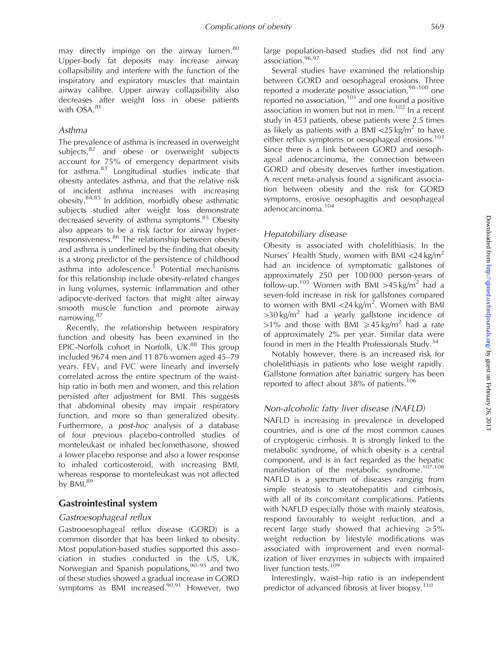may directly impinge on the airway lumen.<sup>80</sup> Upper-body fat deposits may increase airway collapsibility and interfere with the function of the inspiratory and expiratory muscles that maintain airway calibre. Upper airway collapsibility also decreases after weight loss in obese patients with OSA.<sup>81</sup>

#### Asthma

The prevalence of asthma is increased in overweight subjects, $82$  and obese or overweight subjects account for 75% of emergency department visits for asthma.<sup>83</sup> Longitudinal studies indicate that obesity antedates asthma, and that the relative risk of incident asthma increases with increasing obesity.84,85 In addition, morbidly obese asthmatic subjects studied after weight loss demonstrate decreased severity of asthma symptoms.<sup>85</sup> Obesity also appears to be a risk factor for airway hyperresponsiveness.<sup>86</sup> The relationship between obesity and asthma is underlined by the finding that obesity is a strong predictor of the persistence of childhood asthma into adolescence.<sup>5</sup> Potential mechanisms for this relationship include obesity-related changes in lung volumes, systemic inflammation and other adipocyte-derived factors that might alter airway smooth muscle function and promote airway narrowing.<sup>87</sup>

Recently, the relationship between respiratory function and obesity has been examined in the EPIC-Norfolk cohort in Norfolk, UK.<sup>88</sup> This group included 9674 men and 11 876 women aged 45–79 years.  $FEV<sub>1</sub>$  and  $FVC$  were linearly and inversely correlated across the entire spectrum of the waisthip ratio in both men and women, and this relation persisted after adjustment for BMI. This suggests that abdominal obesity may impair respiratory function, and more so than generalized obesity. Furthermore, a post-hoc analysis of a database of four previous placebo-controlled studies of monteleukast or inhaled beclomethasone, showed a lower placebo response and also a lower response to inhaled corticosteroid, with increasing BMI, whereas response to monteleukast was not affected by  $BMl.^{89}$ 

#### Gastrointestinal system

#### Gastroesophageal reflux

Gastrooesophageal reflux disease (GORD) is a common disorder that has been linked to obesity. Most population-based studies supported this association in studies conducted in the US, UK, Norwegian and Spanish populations,  $90-95$  and two of these studies showed a gradual increase in GORD symptoms as BMI increased. $90,91$  However, two large population-based studies did not find any association.96,97

Several studies have examined the relationship between GORD and oesophageal erosions. Three reported a moderate positive association, $98-100$  one reported no association, $101$  and one found a positive association in women but not in men.<sup>102</sup> In a recent study in 453 patients, obese patients were 2.5 times as likely as patients with a BMI  $\langle 25 \text{ kg/m}^2 \rangle$  to have either reflux symptoms or oesophageal erosions.<sup>103</sup> Since there is a link between GORD and oesophageal adenocarcinoma, the connection between GORD and obesity deserves further investigation. A recent meta-analysis found a significant association between obesity and the risk for GORD symptoms, erosive oesophagitis and oesophageal adenocarcinoma.104

#### Hepatobiliary disease

Obesity is associated with cholelithiasis. In the Nurses' Health Study, women with BMI  $\langle 24 \text{ kg/m}^2$ had an incidence of symptomatic gallstones of approximately 250 per 100 000 person-years of follow-up.<sup>105</sup> Women with BMI > 45 kg/m<sup>2</sup> had a seven-fold increase in risk for gallstones compared to women with BMI <24 kg/m<sup>2</sup>. Women with BMI  $>$ 30 kg/m<sup>2</sup> had a yearly gallstone incidence of  $>1\%$  and those with BMI  $\geq 45$  kg/m<sup>2</sup> had a rate of approximately 2% per year. Similar data were found in men in the Health Professionals Study.<sup>34</sup>

Notably however, there is an increased risk for cholelithiasis in patients who lose weight rapidly. Gallstone formation after bariatric surgery has been reported to affect about 38% of patients.<sup>106</sup>

#### Non-alcoholic fatty liver disease (NAFLD)

NAFLD is increasing in prevalence in developed countries, and is one of the most common causes of cryptogenic cirrhosis. It is strongly linked to the metabolic syndrome, of which obesity is a central component, and is in fact regarded as the hepatic manifestation of the metabolic syndrome.<sup>107,108</sup> NAFLD is a spectrum of diseases ranging from simple steatosis to steatohepatitis and cirrhosis, with all of its concomitant complications. Patients with NAFLD especially those with mainly steatosis, respond favourably to weight reduction, and a recent large study showed that achieving  $\geq 5\%$ weight reduction by lifestyle modifications was associated with improvement and even normalization of liver enzymes in subjects with impaired liver function tests.<sup>109</sup>

Interestingly, waist–hip ratio is an independent predictor of advanced fibrosis at liver biopsy.<sup>110</sup>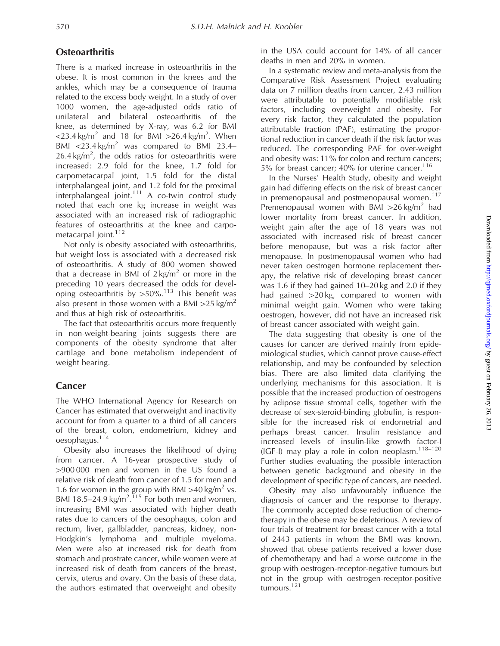#### **Osteoarthritis**

There is a marked increase in osteoarthritis in the obese. It is most common in the knees and the ankles, which may be a consequence of trauma related to the excess body weight. In a study of over 1000 women, the age-adjusted odds ratio of unilateral and bilateral osteoarthritis of the knee, as determined by X-ray, was 6.2 for BMI <23.4 kg/m<sup>2</sup> and 18 for BMI > 26.4 kg/m<sup>2</sup>. When BMI <23.4 kg/m<sup>2</sup> was compared to BMI 23.4–  $26.4 \text{ kg/m}^2$ , the odds ratios for osteoarthritis were increased: 2.9 fold for the knee, 1.7 fold for carpometacarpal joint, 1.5 fold for the distal interphalangeal joint, and 1.2 fold for the proximal interphalangeal joint. $111$  A co-twin control study noted that each one kg increase in weight was associated with an increased risk of radiographic features of osteoarthritis at the knee and carpometacarpal joint.<sup>112</sup>

Not only is obesity associated with osteoarthritis, but weight loss is associated with a decreased risk of osteoarthritis. A study of 800 women showed that a decrease in BMI of  $2 \text{ kg/m}^2$  or more in the preceding 10 years decreased the odds for developing osteoarthritis by  $>50\%$ .<sup>113</sup> This benefit was also present in those women with a BMI  $>25$  kg/m<sup>2</sup> and thus at high risk of osteoarthritis.

The fact that osteoarthritis occurs more frequently in non-weight-bearing joints suggests there are components of the obesity syndrome that alter cartilage and bone metabolism independent of weight bearing.

## **Cancer**

The WHO International Agency for Research on Cancer has estimated that overweight and inactivity account for from a quarter to a third of all cancers of the breast, colon, endometrium, kidney and oesophagus.<sup>114</sup>

Obesity also increases the likelihood of dying from cancer. A 16-year prospective study of  $>900000$  men and women in the US found a relative risk of death from cancer of 1.5 for men and 1.6 for women in the group with BMI > 40 kg/m<sup>2</sup> vs. BMI 18.5–24.9 kg/m<sup>2 115</sup> For both men and women, increasing BMI was associated with higher death rates due to cancers of the oesophagus, colon and rectum, liver, gallbladder, pancreas, kidney, non-Hodgkin's lymphoma and multiple myeloma. Men were also at increased risk for death from stomach and prostrate cancer, while women were at increased risk of death from cancers of the breast, cervix, uterus and ovary. On the basis of these data, the authors estimated that overweight and obesity in the USA could account for 14% of all cancer deaths in men and 20% in women.

In a systematic review and meta-analysis from the Comparative Risk Assessment Project evaluating data on 7 million deaths from cancer, 2.43 million were attributable to potentially modifiable risk factors, including overweight and obesity. For every risk factor, they calculated the population attributable fraction (PAF), estimating the proportional reduction in cancer death if the risk factor was reduced. The corresponding PAF for over-weight and obesity was: 11% for colon and rectum cancers; 5% for breast cancer; 40% for uterine cancer.<sup>116</sup>

In the Nurses' Health Study, obesity and weight gain had differing effects on the risk of breast cancer in premenopausal and postmenopausal women.<sup>117</sup> Premenopausal women with BMI  $>26$  kg/m<sup>2</sup> had lower mortality from breast cancer. In addition, weight gain after the age of 18 years was not associated with increased risk of breast cancer before menopause, but was a risk factor after menopause. In postmenopausal women who had never taken oestrogen hormone replacement therapy, the relative risk of developing breast cancer was 1.6 if they had gained 10–20 kg and 2.0 if they had gained  $>20$  kg, compared to women with minimal weight gain. Women who were taking oestrogen, however, did not have an increased risk of breast cancer associated with weight gain.

The data suggesting that obesity is one of the causes for cancer are derived mainly from epidemiological studies, which cannot prove cause-effect relationship, and may be confounded by selection bias. There are also limited data clarifying the underlying mechanisms for this association. It is possible that the increased production of oestrogens by adipose tissue stromal cells, together with the decrease of sex-steroid-binding globulin, is responsible for the increased risk of endometrial and perhaps breast cancer. Insulin resistance and increased levels of insulin-like growth factor-I (IGF-I) may play a role in colon neoplasm. $118-120$ Further studies evaluating the possible interaction between genetic background and obesity in the development of specific type of cancers, are needed.

Obesity may also unfavourably influence the diagnosis of cancer and the response to therapy. The commonly accepted dose reduction of chemotherapy in the obese may be deleterious. A review of four trials of treatment for breast cancer with a total of 2443 patients in whom the BMI was known, showed that obese patients received a lower dose of chemotherapy and had a worse outcome in the group with oestrogen-receptor-negative tumours but not in the group with oestrogen-receptor-positive tumours.<sup>121</sup>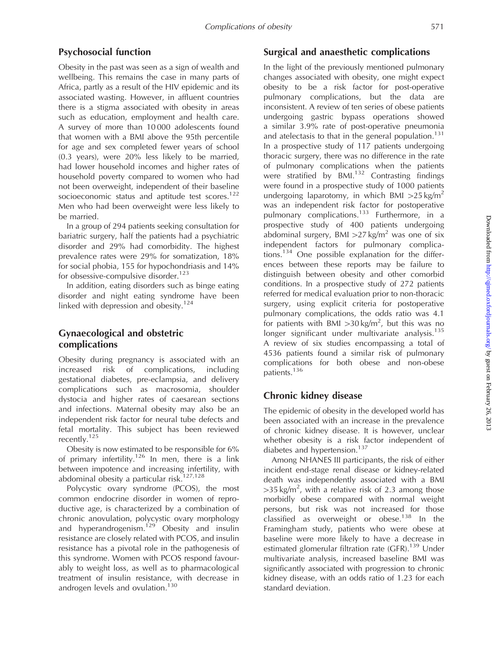#### Psychosocial function

Obesity in the past was seen as a sign of wealth and wellbeing. This remains the case in many parts of Africa, partly as a result of the HIV epidemic and its associated wasting. However, in affluent countries there is a stigma associated with obesity in areas such as education, employment and health care. A survey of more than 10 000 adolescents found that women with a BMI above the 95th percentile for age and sex completed fewer years of school (0.3 years), were 20% less likely to be married, had lower household incomes and higher rates of household poverty compared to women who had not been overweight, independent of their baseline socioeconomic status and aptitude test scores.<sup>122</sup> Men who had been overweight were less likely to be married.

In a group of 294 patients seeking consultation for bariatric surgery, half the patients had a psychiatric disorder and 29% had comorbidity. The highest prevalence rates were 29% for somatization, 18% for social phobia, 155 for hypochondriasis and 14% for obsessive-compulsive disorder.<sup>123</sup>

In addition, eating disorders such as binge eating disorder and night eating syndrome have been linked with depression and obesity.<sup>124</sup>

## Gynaecological and obstetric complications

Obesity during pregnancy is associated with an increased risk of complications, including gestational diabetes, pre-eclampsia, and delivery complications such as macrosomia, shoulder dystocia and higher rates of caesarean sections and infections. Maternal obesity may also be an independent risk factor for neural tube defects and fetal mortality. This subject has been reviewed recently.<sup>125</sup>

Obesity is now estimated to be responsible for 6% of primary infertility.<sup>126</sup> In men, there is a link between impotence and increasing infertility, with abdominal obesity a particular risk. $127,128$ 

Polycystic ovary syndrome (PCOS), the most common endocrine disorder in women of reproductive age, is characterized by a combination of chronic anovulation, polycystic ovary morphology and hyperandrogenism.<sup>129</sup> Obesity and insulin resistance are closely related with PCOS, and insulin resistance has a pivotal role in the pathogenesis of this syndrome. Women with PCOS respond favourably to weight loss, as well as to pharmacological treatment of insulin resistance, with decrease in androgen levels and ovulation.<sup>130</sup>

#### Surgical and anaesthetic complications

In the light of the previously mentioned pulmonary changes associated with obesity, one might expect obesity to be a risk factor for post-operative pulmonary complications, but the data are inconsistent. A review of ten series of obese patients undergoing gastric bypass operations showed a similar 3.9% rate of post-operative pneumonia and atelectasis to that in the general population.<sup>131</sup> In a prospective study of 117 patients undergoing thoracic surgery, there was no difference in the rate of pulmonary complications when the patients were stratified by  $BML^{132}$  Contrasting findings were found in a prospective study of 1000 patients undergoing laparotomy, in which BMI  $>25$  kg/m<sup>2</sup> was an independent risk factor for postoperative pulmonary complications.<sup>133</sup> Furthermore, in a prospective study of 400 patients undergoing abdominal surgery, BMI  $>27$  kg/m<sup>2</sup> was one of six independent factors for pulmonary complications.<sup>134</sup> One possible explanation for the differences between these reports may be failure to distinguish between obesity and other comorbid conditions. In a prospective study of 272 patients referred for medical evaluation prior to non-thoracic surgery, using explicit criteria for postoperative pulmonary complications, the odds ratio was 4.1 for patients with BMI  $>$ 30 kg/m<sup>2</sup>, but this was no longer significant under multivariate analysis.<sup>135</sup> A review of six studies encompassing a total of 4536 patients found a similar risk of pulmonary complications for both obese and non-obese patients.<sup>136</sup>

## Chronic kidney disease

The epidemic of obesity in the developed world has been associated with an increase in the prevalence of chronic kidney disease. It is however, unclear whether obesity is a risk factor independent of diabetes and hypertension.<sup>137</sup>

Among NHANES III participants, the risk of either incident end-stage renal disease or kidney-related death was independently associated with a BMI  $>$ 35 kg/m<sup>2</sup>, with a relative risk of 2.3 among those morbidly obese compared with normal weight persons, but risk was not increased for those  $R_{\text{c}}$  classified as overweight or obese.<sup>138</sup> In the Framingham study, patients who were obese at baseline were more likely to have a decrease in estimated glomerular filtration rate (GFR).<sup>139</sup> Under multivariate analysis, increased baseline BMI was significantly associated with progression to chronic kidney disease, with an odds ratio of 1.23 for each standard deviation.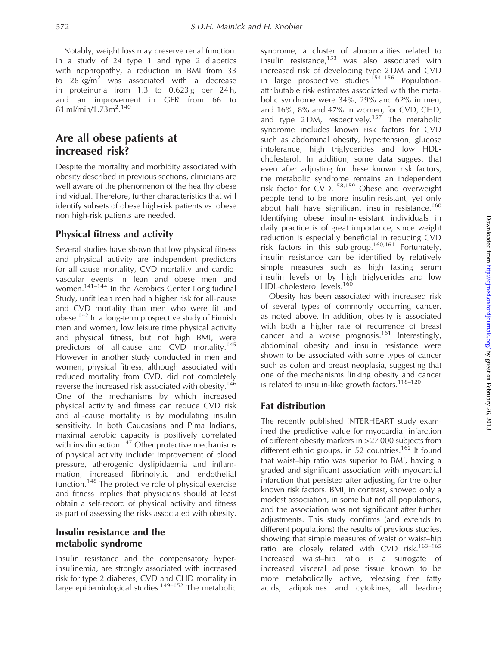Notably, weight loss may preserve renal function. In a study of 24 type 1 and type 2 diabetics with nephropathy, a reduction in BMI from 33 to  $26 \text{ kg/m}^2$  was associated with a decrease in proteinuria from  $1.3$  to  $0.623$  g per  $24$  h, and an improvement in GFR from 66 to 81 ml/min/1.73m<sup>2</sup>.<sup>140</sup>

## Are all obese patients at increased risk?

Despite the mortality and morbidity associated with obesity described in previous sections, clinicians are well aware of the phenomenon of the healthy obese individual. Therefore, further characteristics that will identify subsets of obese high-risk patients vs. obese non high-risk patients are needed.

#### Physical fitness and activity

Several studies have shown that low physical fitness and physical activity are independent predictors for all-cause mortality, CVD mortality and cardiovascular events in lean and obese men and women.<sup>141–144</sup> In the Aerobics Center Longitudinal Study, unfit lean men had a higher risk for all-cause and CVD mortality than men who were fit and obese.<sup>142</sup> In a long-term prospective study of Finnish men and women, low leisure time physical activity and physical fitness, but not high BMI, were predictors of all-cause and CVD mortality.<sup>145</sup> However in another study conducted in men and women, physical fitness, although associated with reduced mortality from CVD, did not completely reverse the increased risk associated with obesity.<sup>146</sup> One of the mechanisms by which increased physical activity and fitness can reduce CVD risk and all-cause mortality is by modulating insulin sensitivity. In both Caucasians and Pima Indians, maximal aerobic capacity is positively correlated with insulin action.<sup>147</sup> Other protective mechanisms of physical activity include: improvement of blood pressure, atherogenic dyslipidaemia and inflammation, increased fibrinolytic and endothelial function.<sup>148</sup> The protective role of physical exercise and fitness implies that physicians should at least obtain a self-record of physical activity and fitness as part of assessing the risks associated with obesity.

#### Insulin resistance and the metabolic syndrome

Insulin resistance and the compensatory hyperinsulinemia, are strongly associated with increased risk for type 2 diabetes, CVD and CHD mortality in large epidemiological studies.<sup>149–152</sup> The metabolic

syndrome, a cluster of abnormalities related to  $i<sub>1</sub>$  insulin resistance, $153$  was also associated with increased risk of developing type 2 DM and CVD in large prospective studies.<sup>154-156</sup> Populationattributable risk estimates associated with the metabolic syndrome were 34%, 29% and 62% in men, and 16%, 8% and 47% in women, for CVD, CHD, and type  $2 DM$ , respectively.<sup>157</sup> The metabolic syndrome includes known risk factors for CVD such as abdominal obesity, hypertension, glucose intolerance, high triglycerides and low HDLcholesterol. In addition, some data suggest that even after adjusting for these known risk factors, the metabolic syndrome remains an independent risk factor for CVD.158,159 Obese and overweight people tend to be more insulin-resistant, yet only about half have significant insulin resistance.<sup>160</sup> Identifying obese insulin-resistant individuals in daily practice is of great importance, since weight reduction is especially beneficial in reducing CVD risk factors in this sub-group.<sup>160,161</sup> Fortunately, insulin resistance can be identified by relatively simple measures such as high fasting serum insulin levels or by high triglycerides and low HDL-cholesterol levels.<sup>160</sup>

Obesity has been associated with increased risk of several types of commonly occurring cancer, as noted above. In addition, obesity is associated with both a higher rate of recurrence of breast cancer and a worse prognosis.<sup>161</sup> Interestingly, abdominal obesity and insulin resistance were shown to be associated with some types of cancer such as colon and breast neoplasia, suggesting that one of the mechanisms linking obesity and cancer is related to insulin-like growth factors. $118-120$ 

## Fat distribution

The recently published INTERHEART study examined the predictive value for myocardial infarction of different obesity markers in >27 000 subjects from different ethnic groups, in 52 countries.<sup>162</sup> It found that waist–hip ratio was superior to BMI, having a graded and significant association with myocardial infarction that persisted after adjusting for the other known risk factors. BMI, in contrast, showed only a modest association, in some but not all populations, and the association was not significant after further adjustments. This study confirms (and extends to different populations) the results of previous studies, showing that simple measures of waist or waist–hip ratio are closely related with CVD risk.<sup>163-165</sup> Increased waist–hip ratio is a surrogate of increased visceral adipose tissue known to be more metabolically active, releasing free fatty acids, adipokines and cytokines, all leading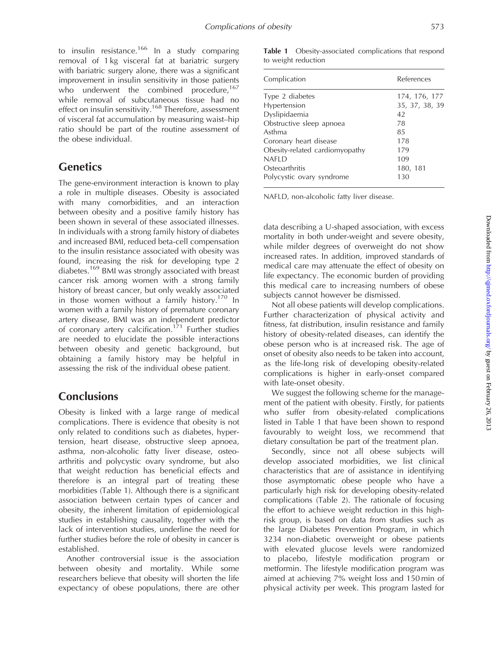to insulin resistance.<sup>166</sup> In a study comparing removal of 1 kg visceral fat at bariatric surgery with bariatric surgery alone, there was a significant improvement in insulin sensitivity in those patients who underwent the combined procedure,<sup>167</sup> while removal of subcutaneous tissue had no effect on insulin sensitivity.<sup>168</sup> Therefore, assessment of visceral fat accumulation by measuring waist–hip ratio should be part of the routine assessment of the obese individual.

## **Genetics**

The gene-environment interaction is known to play a role in multiple diseases. Obesity is associated with many comorbidities, and an interaction between obesity and a positive family history has been shown in several of these associated illnesses. In individuals with a strong family history of diabetes and increased BMI, reduced beta-cell compensation to the insulin resistance associated with obesity was found, increasing the risk for developing type 2 diabetes.<sup>169</sup> BMI was strongly associated with breast cancer risk among women with a strong family history of breast cancer, but only weakly associated in those women without a family history.<sup>170</sup> In women with a family history of premature coronary artery disease, BMI was an independent predictor of coronary artery calcification.<sup>171</sup> Further studies are needed to elucidate the possible interactions between obesity and genetic background, but obtaining a family history may be helpful in assessing the risk of the individual obese patient.

## **Conclusions**

Obesity is linked with a large range of medical complications. There is evidence that obesity is not only related to conditions such as diabetes, hypertension, heart disease, obstructive sleep apnoea, asthma, non-alcoholic fatty liver disease, osteoarthritis and polycystic ovary syndrome, but also that weight reduction has beneficial effects and therefore is an integral part of treating these morbidities (Table 1). Although there is a significant association between certain types of cancer and obesity, the inherent limitation of epidemiological studies in establishing causality, together with the lack of intervention studies, underline the need for further studies before the role of obesity in cancer is established.

Another controversial issue is the association between obesity and mortality. While some researchers believe that obesity will shorten the life expectancy of obese populations, there are other Table 1 Obesity-associated complications that respond to weight reduction

| Complication                   | References     |
|--------------------------------|----------------|
| Type 2 diabetes                | 174, 176, 177  |
| Hypertension                   | 35, 37, 38, 39 |
| Dyslipidaemia                  | 42             |
| Obstructive sleep apnoea       | 78             |
| Asthma                         | 85             |
| Coronary heart disease         | 178            |
| Obesity-related cardiomyopathy | 179            |
| <b>NAFID</b>                   | 109            |
| Osteoarthritis                 | 180, 181       |
| Polycystic ovary syndrome      | 130            |

NAFLD, non-alcoholic fatty liver disease.

data describing a U-shaped association, with excess mortality in both under-weight and severe obesity, while milder degrees of overweight do not show increased rates. In addition, improved standards of medical care may attenuate the effect of obesity on life expectancy. The economic burden of providing this medical care to increasing numbers of obese subjects cannot however be dismissed.

Not all obese patients will develop complications. Further characterization of physical activity and fitness, fat distribution, insulin resistance and family history of obesity-related diseases, can identify the obese person who is at increased risk. The age of onset of obesity also needs to be taken into account, as the life-long risk of developing obesity-related complications is higher in early-onset compared with late-onset obesity.

We suggest the following scheme for the management of the patient with obesity. Firstly, for patients who suffer from obesity-related complications listed in Table 1 that have been shown to respond favourably to weight loss, we recommend that dietary consultation be part of the treatment plan.

Secondly, since not all obese subjects will develop associated morbidities, we list clinical characteristics that are of assistance in identifying those asymptomatic obese people who have a particularly high risk for developing obesity-related complications (Table 2). The rationale of focusing the effort to achieve weight reduction in this highrisk group, is based on data from studies such as the large Diabetes Prevention Program, in which 3234 non-diabetic overweight or obese patients with elevated glucose levels were randomized to placebo, lifestyle modification program or metformin. The lifestyle modification program was aimed at achieving 7% weight loss and 150 min of physical activity per week. This program lasted for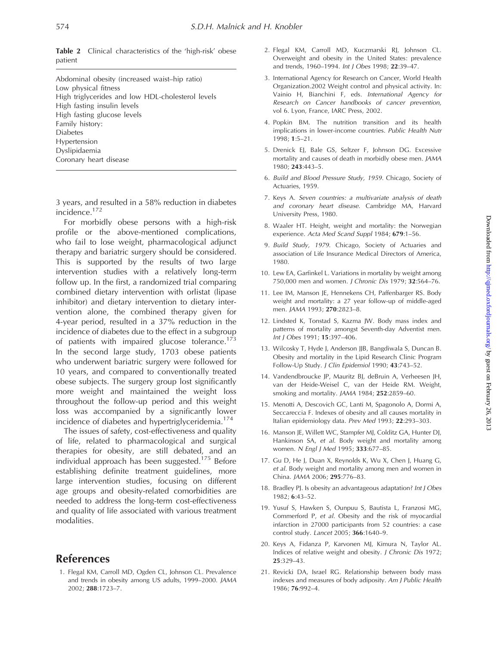Abdominal obesity (increased waist–hip ratio) Low physical fitness High triglycerides and low HDL-cholesterol levels High fasting insulin levels High fasting glucose levels Family history: Diabetes Hypertension Dyslipidaemia Coronary heart disease

3 years, and resulted in a 58% reduction in diabetes incidence.<sup>172</sup>

For morbidly obese persons with a high-risk profile or the above-mentioned complications, who fail to lose weight, pharmacological adjunct therapy and bariatric surgery should be considered. This is supported by the results of two large intervention studies with a relatively long-term follow up. In the first, a randomized trial comparing combined dietary intervention with orlistat (lipase inhibitor) and dietary intervention to dietary intervention alone, the combined therapy given for 4-year period, resulted in a 37% reduction in the incidence of diabetes due to the effect in a subgroup of patients with impaired glucose tolerance.<sup>173</sup> In the second large study, 1703 obese patients who underwent bariatric surgery were followed for 10 years, and compared to conventionally treated obese subjects. The surgery group lost significantly more weight and maintained the weight loss throughout the follow-up period and this weight loss was accompanied by a significantly lower incidence of diabetes and hypertriglyceridemia.<sup>174</sup>

The issues of safety, cost-effectiveness and quality of life, related to pharmacological and surgical therapies for obesity, are still debated, and an individual approach has been suggested.<sup>175</sup> Before establishing definite treatment guidelines, more large intervention studies, focusing on different age groups and obesity-related comorbidities are needed to address the long-term cost-effectiveness and quality of life associated with various treatment modalities.

## References

1. Flegal KM, Carroll MD, Ogden CL, Johnson CL. Prevalence and trends in obesity among US adults, 1999–2000. JAMA 2002; 288:1723–7.

- 2. Flegal KM, Carroll MD, Kuczmarski RJ, Johnson CL. Overweight and obesity in the United States: prevalence and trends, 1960–1994. Int J Obes 1998; 22:39–47.
- 3. International Agency for Research on Cancer, World Health Organization.2002 Weight control and physical activity. In: Vainio H, Bianchini F, eds. International Agency for Research on Cancer handbooks of cancer prevention, vol 6. Lyon, France, IARC Press, 2002.
- 4. Popkin BM. The nutrition transition and its health implications in lower-income countries. Public Health Nutr  $1998 \cdot 1.5 - 21$
- 5. Drenick EJ, Bale GS, Seltzer F, Johnson DG. Excessive mortality and causes of death in morbidly obese men. JAMA 1980; 243:443–5.
- 6. Build and Blood Pressure Study, 1959. Chicago, Society of Actuaries, 1959.
- 7. Keys A. Seven countries: a multivariate analysis of death and coronary heart disease. Cambridge MA, Harvard University Press, 1980.
- 8. Waaler HT. Height, weight and mortality: the Norwegian experience. Acta Med Scand Suppl 1984; 679:1–56.
- 9. Build Study, 1979. Chicago, Society of Actuaries and association of Life Insurance Medical Directors of America, 1980.
- 10. Lew EA, Garfinkel L. Variations in mortality by weight among 750,000 men and women. J Chronic Dis 1979; 32:564–76.
- 11. Lee IM, Manson JE, Hennekens CH, Paffenbarger RS. Body weight and mortality: a 27 year follow-up of middle-aged men. JAMA 1993; 270:2823–8.
- 12. Lindsted K, Tonstad S, Kazma JW. Body mass index and patterns of mortality amongst Seventh-day Adventist men. Int J Obes 1991; 15:397–406.
- 13. Wilcosky T, Hyde J, Anderson JJB, Bangdiwala S, Duncan B. Obesity and mortality in the Lipid Research Clinic Program Follow-Up Study. J Clin Epidemiol 1990; 43:743–52.
- 14. Vandendbroucke JP, Mauritz BJ, deBruin A, Verheesen JH, van der Heide-Weisel C, van der Heide RM. Weight, smoking and mortality. JAMA 1984; 252:2859–60.
- 15. Menotti A, Descovich GC, Lanti M, Spagonolo A, Dormi A, Seccareccia F. Indexes of obesity and all causes mortality in Italian epidemiology data. Prev Med 1993; 22:293–303.
- 16. Manson JE, Willett WC, Stampfer MJ, Colditz GA, Hunter DJ, Hankinson SA, et al. Body weight and mortality among women. N Engl J Med 1995; 333:677–85.
- 17. Gu D, He J, Duan X, Reynolds K, Wu X, Chen J, Huang G, et al. Body weight and mortality among men and women in China. JAMA 2006; 295:776–83.
- 18. Bradley PJ. Is obesity an advantageous adaptation? Int J Obes 1982; 6:43–52.
- 19. Yusuf S, Hawken S, Ounpuu S, Bautista L, Franzosi MG, Commerford P, et al. Obesity and the risk of myocardial infarction in 27000 participants from 52 countries: a case control study. Lancet 2005; 366:1640–9.
- 20. Keys A, Fidanza P, Karvonen MJ, Kimura N, Taylor AL. Indices of relative weight and obesity. J Chronic Dis 1972; 25:329–43.
- 21. Revicki DA, Israel RG. Relationship between body mass indexes and measures of body adiposity. Am J Public Health 1986; 76:992–4.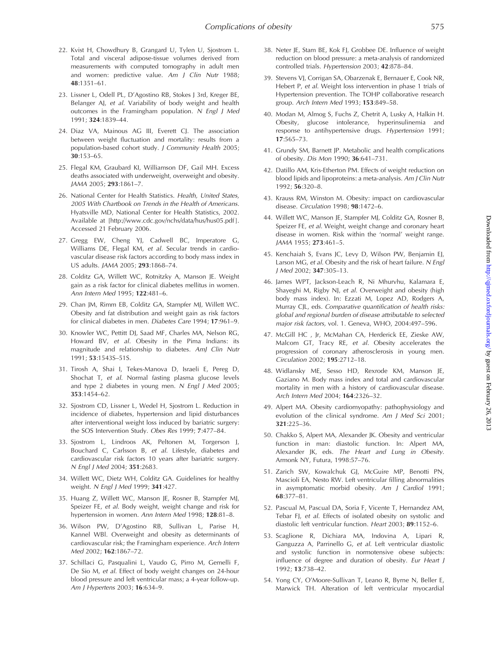- 22. Kvist H, Chowdhury B, Grangard U, Tylen U, Sjostrom L. Total and visceral adipose-tissue volumes derived from measurements with computed tomography in adult men and women: predictive value. Am J Clin Nutr 1988; 48:1351–61.
- 23. Lissner L, Odell PL, D'Agostino RB, Stokes J 3rd, Kreger BE, Belanger AJ, et al. Variability of body weight and health outcomes in the Framingham population. N Engl J Med 1991; 324:1839–44.
- 24. Diaz VA, Mainous AG III, Everett CJ. The association between weight fluctuation and mortality: results from a population-based cohort study. J Community Health 2005; 30:153–65.
- 25. Flegal KM, Graubard KI, Williamson DF, Gail MH. Excess deaths associated with underweight, overweight and obesity. JAMA 2005; 293:1861–7.
- 26. National Center for Health Statistics. Health, United States, 2005 With Chartbook on Trends in the Health of Americans. Hyatsville MD, National Center for Health Statistics, 2002. Available at [\[http://www.cdc.gov/nchs/data/hus/hus05.pdf](http://www.cdc.gov/nchs/data/hus/hus05.pdf) ]. Accessed 21 February 2006.
- 27. Gregg EW, Cheng YJ, Cadwell BC, Imperatore G, Williams DE, Flegal KM, et al. Secular trends in cardiovascular disease risk factors according to body mass index in US adults. JAMA 2005; 293:1868–74.
- 28. Colditz GA, Willett WC, Rotnitzky A, Manson JE. Weight gain as a risk factor for clinical diabetes mellitus in women. Ann Intern Med 1995; 122:481–6.
- 29. Chan JM, Rimm EB, Colditz GA, Stampfer MJ, Willett WC. Obesity and fat distribution and weight gain as risk factors for clinical diabetes in men. Diabetes Care 1994; 17:961–9.
- 30. Knowler WC, Pettitt DJ, Saad MF, Charles MA, Nelson RG, Howard BV, et al. Obesity in the Pima Indians: its magnitude and relationship to diabetes. AmJ Clin Nutr 1991; 53:1543S–51S.
- 31. Tirosh A, Shai I, Tekes-Manova D, Israeli E, Pereg D, Shochat T, et al. Normal fasting plasma glucose levels and type 2 diabetes in young men. N Engl J Med 2005; 353:1454–62.
- 32. Sjostrom CD, Lissner L, Wedel H, Sjostrom L. Reduction in incidence of diabetes, hypertension and lipid disturbances after interventional weight loss induced by bariatric surgery: the SOS Intervention Study. Obes Res 1999; 7:477–84.
- 33. Sjostrom L, Lindroos AK, Peltonen M, Torgerson J, Bouchard C, Carlsson B, et al. Lifestyle, diabetes and cardiovascular risk factors 10 years after bariatric surgery. N Engl J Med 2004; 351:2683.
- 34. Willett WC, Dietz WH, Colditz GA. Guidelines for healthy weight. N Engl J Med 1999; 341:427.
- 35. Huang Z, Willett WC, Manson JE, Rosner B, Stampfer MJ, Speizer FE, et al. Body weight, weight change and risk for hypertension in women. Ann Intern Med 1998; 128:81–8.
- 36. Wilson PW, D'Agostino RB, Sullivan L, Parise H, Kannel WBl. Overweight and obesity as determinants of cardiovascular risk; the Framingham experience. Arch Intern Med 2002; 162:1867–72.
- 37. Schillaci G, Pasqualini L, Vaudo G, Pirro M, Gemelli F, De Sio M, et al. Effect of body weight changes on 24-hour blood pressure and left ventricular mass; a 4-year follow-up. Am J Hypertens 2003; 16:634–9.
- 38. Neter JE, Stam BE, Kok FJ, Grobbee DE. Influence of weight reduction on blood pressure: a meta-analysis of randomized controlled trials. Hypertension 2003; 42:878–84.
- 39. Stevens VJ, Corrigan SA, Obarzenak E, Bernauer E, Cook NR, Hebert P, et al. Weight loss intervention in phase 1 trials of Hypertension prevention. The TOHP collaborative research group. Arch Intern Med 1993; 153:849–58.
- 40. Modan M, Almog S, Fuchs Z, Chetrit A, Lusky A, Halkin H. Obesity, glucose intolerance, hyperinsulinemia and response to antihypertensive drugs. Hypertension 1991; 17:565–73.
- 41. Grundy SM, Barnett JP. Metabolic and health complications of obesity. Dis Mon 1990; 36:641–731.
- 42. Datillo AM, Kris-Etherton PM. Effects of weight reduction on blood lipids and lipoproteins: a meta-analysis. Am J Clin Nutr 1992; 56:320–8.
- 43. Krauss RM, Winston M. Obesity: impact on cardiovascular disease. Circulation 1998; 98:1472–6.
- 44. Willett WC, Manson IE, Stampfer MJ, Colditz GA, Rosner B, Speizer FE, et al. Weight, weight change and coronary heart disease in women. Risk within the 'normal' weight range. JAMA 1955; 273:461–5.
- 45. Kenchaiah S, Evans JC, Levy D, Wilson PW, Benjamin EJ, Larson MG, et al. Obesity and the risk of heart failure. N Engl J Med 2002; 347:305–13.
- 46. James WPT, Jackson-Leach R, Ni Mhurvhu, Kalamara E, Shayeghi M, Rigby NJ, et al. Overweight and obesity (high body mass index). In: Ezzati M, Lopez AD, Rodgers A, Murray CJL, eds. Comparative quantification of health risks: global and regional burden of disease attributable to selected major risk factors, vol. 1. Geneva, WHO, 2004:497–596.
- 47. McGill HC , Jr, McMahan CA, Herderick EE, Zieske AW, Malcom GT, Tracy RE, et al. Obesity accelerates the progression of coronary atherosclerosis in young men. Circulation 2002; 195:2712–18.
- 48. Widlansky ME, Sesso HD, Rexrode KM, Manson JE, Gaziano M. Body mass index and total and cardiovascular mortality in men with a history of cardiovascular disease. Arch Intern Med 2004; 164:2326–32.
- 49. Alpert MA. Obesity cardiomyopathy: pathophysiology and evolution of the clinical syndrome. Am J Med Sci 2001; 321:225–36.
- 50. Chakko S, Alpert MA, Alexander JK. Obesity and ventricular function in man: diastolic function. In: Alpert MA, Alexander JK, eds. The Heart and Lung in Obesity. Armonk NY, Futura, 1998:57–76.
- 51. Zarich SW, Kowalchuk GJ, McGuire MP, Benotti PN, Mascioli EA, Nesto RW. Left ventricular filling abnormalities in asymptomatic morbid obesity. Am J Cardiol 1991; 68:377–81.
- 52. Pascual M, Pascual DA, Soria F, Vicente T, Hernandez AM, Tebar FJ, et al. Effects of isolated obesity on systolic and diastolic left ventricular function. Heart 2003; 89:1152–6.
- 53. Scaglione R, Dichiara MA, Indovina A, Lipari R, Ganguzza A, Parrinello G, et al. Left ventricular diastolic and systolic function in normotensive obese subjects: influence of degree and duration of obesity. Eur Heart J 1992; 13:738–42.
- 54. Yong CY, O'Moore-Sullivan T, Leano R, Byrne N, Beller E, Marwick TH. Alteration of left ventricular myocardial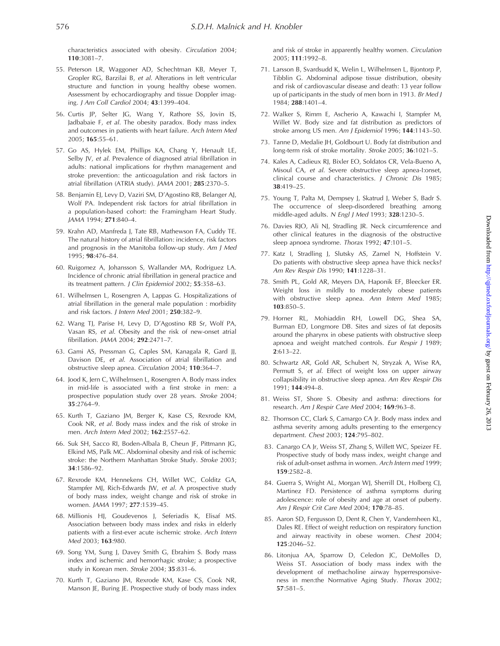characteristics associated with obesity. Circulation 2004; 110:3081–7.

- 55. Peterson LR, Waggoner AD, Schechtman KB, Meyer T, Gropler RG, Barzilai B, et al. Alterations in left ventricular structure and function in young healthy obese women. Assessment by echocardiography and tissue Doppler imaging. J Am Coll Cardiol 2004; 43:1399–404.
- 56. Curtis JP, Selter JG, Wang Y, Rathore SS, Jovin IS, Jadbabaie F, et al. The obesity paradox. Body mass index and outcomes in patients with heart failure. Arch Intern Med 2005; 165:55–61.
- 57. Go AS, Hylek EM, Phillips KA, Chang Y, Henault LE, Selby JV, et al. Prevalence of diagnosed atrial fibrillation in adults: national implications for rhythm management and stroke prevention: the anticoagulation and risk factors in atrial fibrillation (ATRIA study). JAMA 2001; 285:2370–5.
- 58. Benjamin EJ, Levy D, Vaziri SM, D'Agostino RB, Belanger AJ, Wolf PA. Independent risk factors for atrial fibrillation in a population-based cohort: the Framingham Heart Study. JAMA 1994; 271:840–4.
- 59. Krahn AD, Manfreda J, Tate RB, Mathewson FA, Cuddy TE. The natural history of atrial fibrillation: incidence, risk factors and prognosis in the Manitoba follow-up study. Am J Med 1995; 98:476–84.
- 60. Ruigomez A, Johansson S, Wallander MA, Rodriguez LA. Incidence of chronic atrial fibrillation in general practice and its treatment pattern. J Clin Epidemiol 2002; 55:358-63.
- 61. Wilhelmsen L, Rosengren A, Lappas G. Hospitalizations of atrial fibrillation in the general male population : morbidity and risk factors. J Intern Med 2001; 250:382–9.
- 62. Wang TJ, Parise H, Levy D, D'Agostino RB Sr, Wolf PA, Vasan RS, et al. Obesity and the risk of new-onset atrial fibrillation. JAMA 2004; 292:2471–7.
- 63. Gami AS, Pressman G, Caples SM, Kanagala R, Gard JJ, Davison DE, et al. Association of atrial fibrillation and obstructive sleep apnea. Circulation 2004; 110:364–7.
- 64. Jood K, Jern C, Wilhelmsen L, Rosengren A. Body mass index in mid-life is associated with a first stroke in men: a prospective population study over 28 years. Stroke 2004; 35:2764–9.
- 65. Kurth T, Gaziano JM, Berger K, Kase CS, Rexrode KM, Cook NR, et al. Body mass index and the risk of stroke in men. Arch Intern Med 2002; 162:2557–62.
- 66. Suk SH, Sacco RI, Boden-Albala B, Cheun JF, Pittmann JG, Elkind MS, Palk MC. Abdominal obesity and risk of ischemic stroke: the Northern Manhattan Stroke Study. Stroke 2003; 34:1586–92.
- 67. Rexrode KM, Hennekens CH, Willet WC, Colditz GA, Stampfer MJ, Rich-Edwards JW, et al. A prospective study of body mass index, weight change and risk of stroke in women. JAMA 1997; 277:1539–45.
- 68. Millionis HJ, Goudevenos J, Seferiadis K, Elisaf MS. Association between body mass index and risks in elderly patients with a first-ever acute ischemic stroke. Arch Intern Med 2003; 163:980.
- 69. Song YM, Sung J, Davey Smith G, Ebrahim S. Body mass index and ischemic and hemorrhagic stroke; a prospective study in Korean men. Stroke 2004; 35:831-6.
- 70. Kurth T, Gaziano JM, Rexrode KM, Kase CS, Cook NR, Manson JE, Buring JE. Prospective study of body mass index

and risk of stroke in apparently healthy women. Circulation 2005; 111:1992–8.

- 71. Larsson B, Svardsudd K, Welin L, Wilhelmsen L, Bjontorp P, Tibblin G. Abdominal adipose tissue distribution, obesity and risk of cardiovascular disease and death: 13 year follow up of participants in the study of men born in 1913. Br Med J 1984; 288:1401–4.
- 72. Walker S, Rimm E, Ascherio A, Kawachi I, Stampfer M, Willet W. Body size and fat distribution as predictors of stroke among US men. Am J Epidemiol 1996; 144:1143–50.
- 73. Tanne D, Medalie JH, Goldbourt U. Body fat distribution and long-term risk of stroke mortality. Stroke 2005; 36:1021–5.
- 74. Kales A, Cadieux RJ, Bixler EO, Soldatos CR, Vela-Bueno A, Misoul CA, et al. Severe obstructive sleep apnea-I:onset, clinical course and characteristics. J Chronic Dis 1985; 38:419–25.
- 75. Young T, Palta M, Dempsey J, Skatrud J, Weber S, Badr S. The occurrence of sleep-disordered breathing among middle-aged adults. N Engl J Med 1993; 328:1230–5.
- 76. Davies RJO, Ali NJ, Stradling JR. Neck circumference and other clinical features in the diagnosis of the obstructive sleep apnoea syndrome. Thorax 1992; 47:101-5.
- 77. Katz I, Stradling J, Slutsky AS, Zamel N, Hoffstein V. Do patients with obstructive sleep apnea have thick necks? Am Rev Respir Dis 1990; 141:1228–31.
- 78. Smith PL, Gold AR, Meyers DA, Haponik EF, Bleecker ER. Weight loss in mildly to moderately obese patients with obstructive sleep apnea. Ann Intern Med 1985; 103:850–5.
- 79. Horner RL, Mohiaddin RH, Lowell DG, Shea SA, Burman ED, Longmore DB. Sites and sizes of fat deposits around the pharynx in obese patients with obstructive sleep apnoea and weight matched controls. Eur Respir J 1989; 2:613–22.
- 80. Schwartz AR, Gold AR, Schubert N, Stryzak A, Wise RA, Permutt S, et al. Effect of weight loss on upper airway collapsibility in obstructive sleep apnea. Am Rev Respir Dis 1991; 144:494–8.
- 81. Weiss ST, Shore S. Obesity and asthma: directions for research. Am J Respir Care Med 2004; 169:963–8.
- 82. Thomson CC, Clark S, Camargo CA Jr. Body mass index and asthma severity among adults presenting to the emergency department. Chest 2003; 124:795–802.
- 83. Canargo CA Jr, Weiss ST, Zhang S, Willett WC, Speizer FE. Prospective study of body mass index, weight change and risk of adult-onset asthma in women. Arch Intern med 1999; 159:2582–8.
- 84. Guerra S, Wright AL, Morgan WJ, Sherrill DL, Holberg CJ, Martinez FD. Persistence of asthma symptoms during adolescence: role of obesity and age at onset of puberty. Am J Respir Crit Care Med 2004; 170:78-85.
- 85. Aaron SD, Fergusson D, Dent R, Chen Y, Vandemheen KL, Dales RE. Effect of weight reduction on respiratory function and airway reactivity in obese women. Chest 2004; 125:2046–52.
- 86. Litonjua AA, Sparrow D, Celedon JC, DeMolles D, Weiss ST. Association of body mass index with the development of methacholine airway hyperresponsiveness in men:the Normative Aging Study. Thorax 2002; 57:581–5.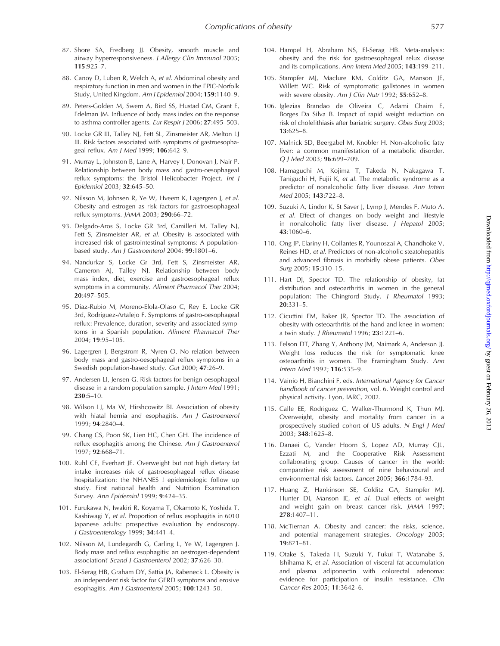- 87. Shore SA, Fredberg JJ. Obesity, smooth muscle and airway hyperresponsiveness. J Allergy Clin Immunol 2005; 115:925–7.
- 88. Canoy D, Luben R, Welch A, et al. Abdominal obesity and respiratory function in men and women in the EPIC-Norfolk Study, United Kingdom. Am J Epidemiol 2004; 159:1140–9.
- 89. Peters-Golden M, Swern A, Bird SS, Hustad CM, Grant E, Edelman JM. Influence of body mass index on the response to asthma controller agents. Eur Respir J 2006; 27:495–503.
- 90. Locke GR III, Talley NJ, Fett SL, Zinsmeister AR, Melton LJ III. Risk factors associated with symptoms of gastroesophageal reflux. Am J Med 1999; 106:642–9.
- 91. Murray L, Johnston B, Lane A, Harvey I, Donovan J, Nair P. Relationship between body mass and gastro-oesophageal reflux symptoms: the Bristol Helicobacter Project. Int J Epidemiol 2003; 32:645–50.
- 92. Nilsson M, Johnsen R, Ye W, Hveem K, Lagergren J, et al. Obesity and estrogen as risk factors for gastroesophageal reflux symptoms. JAMA 2003; 290:66–72.
- 93. Delgado-Aros S, Locke GR 3rd, Camilleri M, Talley NJ, Fett S, Zinsmeister AR, et al. Obesity is associated with increased risk of gastrointestinal symptoms: A populationbased study. Am J Gastroenterol 2004; 99:1801–6.
- 94. Nandurkar S, Locke Gr 3rd, Fett S, Zinsmeister AR, Cameron AJ, Talley NJ. Relationship between body mass index, diet, exercise and gastroesophageal reflux symptoms in a community. Aliment Pharmacol Ther 2004; 20:497–505.
- 95. Diaz-Rubio M, Moreno-Elola-Olaso C, Rey E, Locke GR 3rd, Rodriguez-Artalejo F. Symptoms of gastro-oesophageal reflux: Prevalence, duration, severity and associated symptoms in a Spanish population. Aliment Pharmacol Ther 2004; 19:95–105.
- 96. Lagergren J, Bergstrom R, Nyren O. No relation between body mass and gastro-oesophageal reflux symptoms in a Swedish population-based study. Gut 2000; 47:26–9.
- 97. Andersen LI, Jensen G. Risk factors for benign oesophageal disease in a random population sample. J Intern Med 1991; 230:5–10.
- 98. Wilson LJ, Ma W, Hirshcowitz BI. Association of obesity with hiatal hernia and esophagitis. Am J Gastroenterol 1999; 94:2840–4.
- 99. Chang CS, Poon SK, Lien HC, Chen GH. The incidence of reflux esophagitis among the Chinese. Am J Gastroenterol 1997; 92:668–71.
- 100. Ruhl CE, Everhart JE. Overweight but not high dietary fat intake increases risk of gastroesophageal reflux disease hospitalization: the NHANES I epidemiologic follow up study. First national health and Nutrition Examination Survey. Ann Epidemiol 1999; 9:424–35.
- 101. Furukawa N, Iwakiri R, Koyama T, Okamoto K, Yoshida T, Kashiwagi Y, et al. Proportion of reflux esophagitis in 6010 Japanese adults: prospective evaluation by endoscopy. J Gastroenterology 1999; 34:441–4.
- 102. Nilsson M, Lundegardh G, Carling L, Ye W, Lagergren J. Body mass and reflux esophagitis: an oestrogen-dependent association? Scand J Gastroenterol 2002; 37:626–30.
- 103. El-Serag HB, Graham DY, Sattia JA, Rabeneck L. Obesity is an independent risk factor for GERD symptoms and erosive esophagitis. Am J Gastroenterol 2005; 100:1243–50.
- 104. Hampel H, Abraham NS, El-Serag HB. Meta-analysis: obesity and the risk for gastroesophageal relux disease and its complications. Ann Intern Med 2005; 143:199–211.
- 105. Stampfer MJ, Maclure KM, Colditz GA, Manson JE, Willett WC. Risk of symptomatic gallstones in women with severe obesity. Am J Clin Nutr 1992; 55:652-8.
- 106. Iglezias Brandao de Oliveira C, Adami Chaim E, Borges Da Silva B. Impact of rapid weight reduction on risk of cholelithiasis after bariatric surgery. Obes Surg 2003; 13:625–8.
- 107. Malnick SD, Beergabel M, Knobler H. Non-alcoholic fatty liver: a common manifestation of a metabolic disorder. Q J Med 2003; 96:699–709.
- 108. Hamaguchi M, Kojima T, Takeda N, Nakagawa T, Taniguchi H, Fujii K, et al. The metabolic syndrome as a predictor of nonalcoholic fatty liver disease. Ann Intern Med 2005; 143:722–8.
- 109. Suzuki A, Lindor K, St Saver J, Lymp J, Mendes F, Muto A, et al. Effect of changes on body weight and lifestyle in nonalcoholic fatty liver disease. J Hepatol 2005; 43:1060–6.
- 110. Ong JP, Elariny H, Collantes R, Younoszai A, Chandhoke V, Reines HD, et al. Predictors of non-alcoholic steatohepatitis and advanced fibrosis in morbidly obese patients. Obes Surg 2005; 15:310–15.
- 111. Hart DJ, Spector TD. The relationship of obesity, fat distribution and osteoarthritis in women in the general population: The Chingford Study. J Rheumatol 1993; 20:331–5.
- 112. Cicuttini FM, Baker JR, Spector TD. The association of obesity with osteoarthritis of the hand and knee in women: a twin study. J Rheumatol 1996; 23:1221–6.
- 113. Felson DT, Zhang Y, Anthony JM, Naimark A, Anderson JJ. Weight loss reduces the risk for symptomatic knee osteoarthritis in women. The Framingham Study. Ann Intern Med 1992; 116:535–9.
- 114. Vainio H, Bianchini F, eds. International Agency for Cancer handbook of cancer prevention, vol. 6. Weight control and physical activity. Lyon, IARC, 2002.
- 115. Calle EE, Rodriguez C, Walker-Thurmond K, Thun MJ. Overweight, obesity and mortality from cancer in a prospectively studied cohort of US adults. N Engl J Med 2003; 348:1625–8.
- 116. Danaei G, Vander Hoorn S, Lopez AD, Murray CJL, Ezzati M, and the Cooperative Risk Assessment collaborating group. Causes of cancer in the world: comparative risk assessment of nine behavioural and environmental risk factors. Lancet 2005; 366:1784–93.
- 117. Huang Z, Hankinson SE, Colditz GA, Stampfer MJ, Hunter DJ, Manson JE, et al. Dual effects of weight and weight gain on breast cancer risk. JAMA 1997; 278:1407–11.
- 118. McTiernan A. Obesity and cancer: the risks, science, and potential management strategies. Oncology 2005; 19:871–81.
- 119. Otake S, Takeda H, Suzuki Y, Fukui T, Watanabe S, Ishihama K, et al. Association of visceral fat accumulation and plasma adiponectin with colorectal adenoma: evidence for participation of insulin resistance. Clin Cancer Res 2005; 11:3642–6.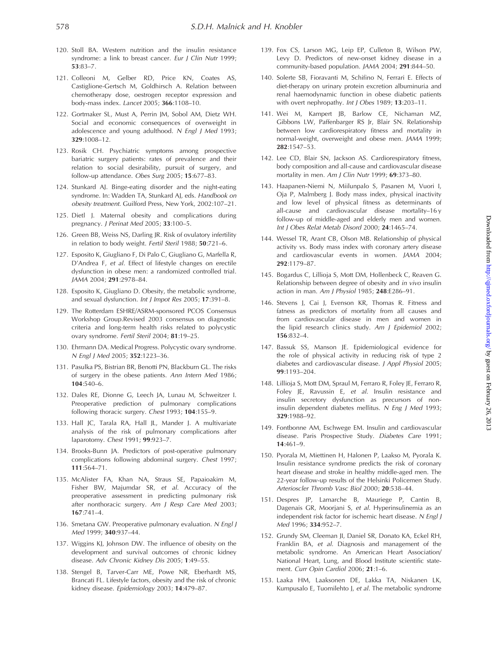- 120. Stoll BA. Western nutrition and the insulin resistance syndrome: a link to breast cancer. Eur J Clin Nutr 1999; 53:83–7.
- 121. Colleoni M, Gelber RD, Price KN, Coates AS, Castiglione-Gertsch M, Goldhirsch A. Relation between chemotherapy dose, oestrogen receptor expression and body-mass index. Lancet 2005; 366:1108–10.
- 122. Gortmaker SL, Must A, Perrin JM, Sobol AM, Dietz WH. Social and economic consequences of overweight in adolescence and young adulthood. N Engl J Med 1993; 329:1008–12.
- 123. Rosik CH. Psychiatric symptoms among prospective bariatric surgery patients: rates of prevalence and their relation to social desirability, pursuit of surgery, and follow-up attendance. Obes Surg 2005; 15:677–83.
- 124. Stunkard AJ. Binge-eating disorder and the night-eating syndrome. In: Wadden TA, Stunkard AJ, eds. Handbook on obesity treatment. Guilford Press, New York, 2002:107–21.
- 125. Dietl J. Maternal obesity and complications during pregnancy. J Perinat Med 2005; 33:100–5.
- 126. Green BB, Weiss NS, Darling JR. Risk of ovulatory infertility in relation to body weight. Fertil Steril 1988; 50:721–6.
- 127. Esposito K, Giugliano F, Di Palo C, Giugliano G, Marfella R, D'Andrea F, et al. Effect of lifestyle changes on erectile dysfunction in obese men: a randomized controlled trial. JAMA 2004; 291:2978–84.
- 128. Esposito K, Giugliano D. Obesity, the metabolic syndrome, and sexual dysfunction. Int J Impot Res 2005; 17:391–8.
- 129. The Rotterdam ESHRE/ASRM-sponsored PCOS Consensus Workshop Group.Revised 2003 consensus on diagnostic criteria and long-term health risks related to polycystic ovary syndrome. Fertil Steril 2004; 81:19–25.
- 130. Ehrmann DA. Medical Progress. Polycystic ovary syndrome. N Engl J Med 2005; 352:1223–36.
- 131. Pasulka PS, Bistrian BR, Benotti PN, Blackburn GL. The risks of surgery in the obese patients. Ann Intern Med 1986; 104:540–6.
- 132. Dales RE, Dionne G, Leech JA, Lunau M, Schweitzer I. Preoperative prediction of pulmonary complications following thoracic surgery. Chest 1993; 104:155–9.
- 133. Hall JC, Tarala RA, Hall JL, Mander J. A multivariate analysis of the risk of pulmonary complications after laparotomy. Chest 1991; 99:923–7.
- 134. Brooks-Bunn JA. Predictors of post-operative pulmonary complications following abdominal surgery. Chest 1997; 111:564–71.
- 135. McAlister FA, Khan NA, Straus SE, Papaioakim M, Fisher BW, Majumdar SR, et al. Accuracy of the preoperative assessment in predicting pulmonary risk after nonthoracic surgery. Am J Resp Care Med 2003; 167:741–4.
- 136. Smetana GW. Preoperative pulmonary evaluation. N Engl J Med 1999; 340:937–44.
- 137. Wiggins KJ, Johnson DW. The influence of obesity on the development and survival outcomes of chronic kidney disease. Adv Chronic Kidney Dis 2005; 1:49–55.
- 138. Stengel B, Tarver-Carr ME, Powe NR, Eberhardt MS, Brancati FL. Lifestyle factors, obesity and the risk of chronic kidney disease. Epidemiology 2003; 14:479–87.
- 139. Fox CS, Larson MG, Leip EP, Culleton B, Wilson PW, Levy D. Predictors of new-onset kidney disease in a community-based population. JAMA 2004; 291:844–50.
- 140. Solerte SB, Fioravanti M, Schifino N, Ferrari E. Effects of diet-therapy on urinary protein excretion albuminuria and renal haemodynamic function in obese diabetic patients with overt nephropathy. Int J Obes 1989; 13:203-11.
- 141. Wei M, Kampert JB, Barlow CE, Nichaman MZ, Gibbons LW, Paffenbarger RS Jr, Blair SN. Relationship between low cardiorespiratory fitness and mortality in normal-weight, overweight and obese men. JAMA 1999; 282:1547–53.
- 142. Lee CD, Blair SN, Jackson AS. Cardiorespiratory fitness, body composition and all-cause and cardiovascular disease mortality in men. Am J Clin Nutr 1999; 69:373-80.
- 143. Haapanen-Niemi N, Miilunpalo S, Pasanen M, Vuori I, Oja P, Malmberg J. Body mass index, physical inactivity and low level of physical fitness as determinants of all-cause and cardiovascular disease mortality–16 y follow-up of middle-aged and elderly men and women. Int J Obes Relat Metab Disord 2000; 24:1465–74.
- 144. Wessel TR, Arant CB, Olson MB. Relationship of physical activity vs. Body mass index with coronary artery disease and cardiovascular events in women. JAMA 2004; 292:1179–87.
- 145. Bogardus C, Lillioja S, Mott DM, Hollenbeck C, Reaven G. Relationship between degree of obesity and in vivo insulin action in man. Am J Physiol 1985; 248:E286–91.
- 146. Stevens J, Cai J, Evenson KR, Thomas R. Fitness and fatness as predictors of mortality from all causes and from cardiovascular disease in men and women in the lipid research clinics study. Am I Epidemiol 2002: 156:832–4.
- 147. Bassuk SS, Manson JE. Epidemiological evidence for the role of physical activity in reducing risk of type 2 diabetes and cardiovascular disease. J Appl Physiol 2005; 99:1193–204.
- 148. Lillioja S, Mott DM, Spraul M, Ferraro R, Foley JE, Ferraro R, Foley JE, Ravussin E, et al. Insulin resistance and insulin secretory dysfunction as precursors of noninsulin dependent diabetes mellitus. N Eng J Med 1993; 329:1988–92.
- 149. Fontbonne AM, Eschwege EM. Insulin and cardiovascular disease. Paris Prospective Study. Diabetes Care 1991;  $14.461 - 9$
- 150. Pyorala M, Miettinen H, Halonen P, Laakso M, Pyorala K. Insulin resistance syndrome predicts the risk of coronary heart disease and stroke in healthy middle-aged men. The 22-year follow-up results of the Helsinki Policemen Study. Arterioscler Thromb Vasc Biol 2000; 20:538–44.
- 151. Despres JP, Lamarche B, Mauriege P, Cantin B, Dagenais GR, Moorjani S, et al. Hyperinsulinemia as an independent risk factor for ischemic heart disease. N Engl J Med 1996; 334:952–7.
- 152. Grundy SM, Cleeman JI, Daniel SR, Donato KA, Eckel RH, Franklin BA, et al. Diagnosis and management of the metabolic syndrome. An American Heart Association/ National Heart, Lung, and Blood Institute scientific statement. Curr Opin Cardiol 2006; 21:1–6.
- 153. Laaka HM, Laaksonen DE, Lakka TA, Niskanen LK, Kumpusalo E, Tuomilehto J, et al. The metabolic syndrome